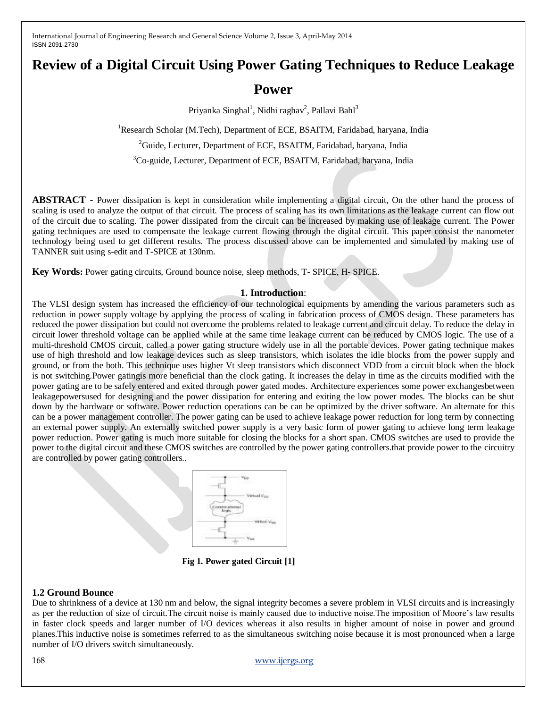International Journal of Engineering Research and General Science Volume 2, Issue 3, April-May 2014 ISSN 2091-2730

# **Review of a Digital Circuit Using Power Gating Techniques to Reduce Leakage**

## **Power**

Priyanka Singhal<sup>1</sup>, Nidhi raghav<sup>2</sup>, Pallavi Bahl<sup>3</sup>

<sup>1</sup>Research Scholar (M.Tech), Department of ECE, BSAITM, Faridabad, haryana, India

<sup>2</sup>Guide, Lecturer, Department of ECE, BSAITM, Faridabad, haryana, India

<sup>3</sup>Co-guide, Lecturer, Department of ECE, BSAITM, Faridabad, haryana, India

**ABSTRACT -** Power dissipation is kept in consideration while implementing a digital circuit, On the other hand the process of scaling is used to analyze the output of that circuit. The process of scaling has its own limitations as the leakage current can flow out of the circuit due to scaling. The power dissipated from the circuit can be increased by making use of leakage current. The Power gating techniques are used to compensate the leakage current flowing through the digital circuit. This paper consist the nanometer technology being used to get different results. The process discussed above can be implemented and simulated by making use of TANNER suit using s-edit and T-SPICE at 130nm.

**Key Words:** Power gating circuits, Ground bounce noise, sleep methods, T- SPICE, H- SPICE.

#### **1. Introduction**:

The VLSI design system has increased the efficiency of our technological equipments by amending the various parameters such as reduction in power supply voltage by applying the process of scaling in fabrication process of CMOS design. These parameters has reduced the power dissipation but could not overcome the problems related to leakage current and circuit delay. To reduce the delay in circuit lower threshold voltage can be applied while at the same time leakage current can be reduced by CMOS logic. The use of a multi-threshold CMOS circuit, called a power gating structure widely use in all the portable devices. Power gating technique makes use of high threshold and low leakage devices such as sleep transistors, which isolates the idle blocks from the power supply and ground, or from the both. This technique uses higher Vt sleep transistors which disconnect VDD from a circuit block when the block is not switching.Power gatingis more beneficial than the clock gating. It increases the delay in time as the circuits modified with the power gating are to be safely entered and exited through power gated modes. Architecture experiences some power exchangesbetween leakagepowersused for designing and the power dissipation for entering and exiting the low power modes. The blocks can be shut down by the hardware or software. Power reduction operations can be can be optimized by the driver software. An alternate for this can be a power management controller. The power gating can be used to achieve leakage power reduction for long term by connecting an external power supply. An externally switched power supply is a very basic form of power gating to achieve long term leakage power reduction. Power gating is much more suitable for closing the blocks for a short span. CMOS switches are used to provide the power to the digital circuit and these CMOS switches are controlled by the power gating controllers.that provide power to the circuitry are controlled by power gating controllers..



 **Fig 1. Power gated Circuit [1]**

### **1.2 Ground Bounce**

Due to shrinkness of a device at 130 nm and below, the signal integrity becomes a severe problem in VLSI circuits and is increasingly as per the reduction of size of circuit.The circuit noise is mainly caused due to inductive noise.The imposition of Moore's law results in faster clock speeds and larger number of I/O devices whereas it also results in higher amount of noise in power and ground planes.This inductive noise is sometimes referred to as the simultaneous switching noise because it is most pronounced when a large number of I/O drivers switch simultaneously.